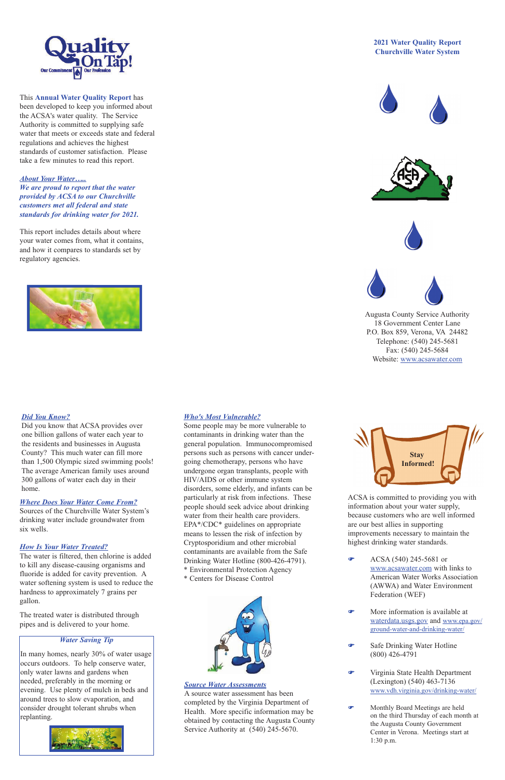## *Where Does Your Water Come From?*

Sources of the Churchville Water System's drinking water include groundwater from six wells.

#### *How Is Your Water Treated?*

The water is filtered, then chlorine is added to kill any disease-causing organisms and fluoride is added for cavity prevention. A water softening system is used to reduce the hardness to approximately 7 grains per gallon.

The treated water is distributed through pipes and is delivered to your home.

# *Who's Most Vulnerable?*

Some people may be more vulnerable to contaminants in drinking water than the general population. Immunocompromised persons such as persons with cancer undergoing chemotherapy, persons who have undergone organ transplants, people with HIV/AIDS or other immune system disorders, some elderly, and infants can be particularly at risk from infections. These people should seek advice about drinking water from their health care providers. EPA\*/CDC\* guidelines on appropriate means to lessen the risk of infection by Cryptosporidium and other microbial contaminants are available from the Safe Drinking Water Hotline (800-426-4791). \* Environmental Protection Agency

\* Centers for Disease Control



ACSA is committed to providing you with information about your water supply, because customers who are well informed are our best allies in supporting improvements necessary to maintain the highest drinking water standards.

F ACSA (540) 245-5681 or www.acsawater.com with links to

> American Water Works Association (AWWA) and Water Environment Federation (WEF)

- F More information is available at waterdata.usgs.gov and www.epa.gov/ ground-water-and-drinking-water/
- Safe Drinking Water Hotline (800) 426-4791
- F Virginia State Health Department (Lexington) (540) 463-7136 www.vdh.virginia.gov/drinking-water/
- Monthly Board Meetings are held on the third Thursday of each month at the Augusta County Government Center in Verona. Meetings start at 1:30 p.m.



This **Annual Water Quality Report** has been developed to keep you informed about the ACSA's water quality. The Service Authority is committed to supplying safe water that meets or exceeds state and federal regulations and achieves the highest standards of customer satisfaction. Please take a few minutes to read this report.

*About Your Water….. We are proud to report that the water provided by ACSA to our Churchville customers met all federal and state standards for drinking water for 2021.*

This report includes details about where your water comes from, what it contains, and how it compares to standards set by regulatory agencies.



#### **2021 Water Quality Report Churchville Water System**









Augusta County Service Authority 18 Government Center Lane P.O. Box 859, Verona, VA 24482 Telephone: (540) 245-5681 Fax: (540) 245-5684 Website: www.acsawater.com

## *Water Saving Tip*

In many homes, nearly 30% of water usage occurs outdoors. To help conserve water, only water lawns and gardens when needed, preferably in the morning or evening. Use plenty of mulch in beds and around trees to slow evaporation, and consider drought tolerant shrubs when replanting.





## *Source Water Assessments*

A source water assessment has been completed by the Virginia Department of Health. More specific information may be obtained by contacting the Augusta County Service Authority at (540) 245-5670.

## *Did You Know?*

Did you know that ACSA provides over one billion gallons of water each year to the residents and businesses in Augusta County? This much water can fill more than 1,500 Olympic sized swimming pools! The average American family uses around 300 gallons of water each day in their home.